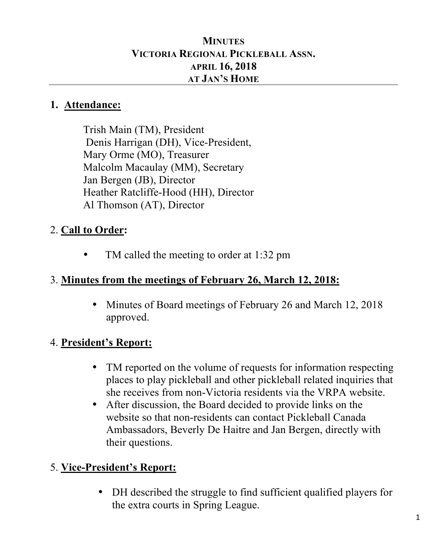#### **MINUTES VICTORIA REGIONAL PICKLEBALL ASSN. APRIL 16, 2018 AT JAN'S HOME**

#### **1. Attendance:**

Trish Main (TM), President Denis Harrigan (DH), Vice-President, Mary Orme (MO), Treasurer Malcolm Macaulay (MM), Secretary Jan Bergen (JB), Director Heather Ratcliffe-Hood (HH), Director Al Thomson (AT), Director

## 2. **Call to Order:**

TM called the meeting to order at 1:32 pm

### 3. **Minutes from the meetings of February 26, March 12, 2018:**

• Minutes of Board meetings of February 26 and March 12, 2018 approved.

### 4. **President's Report:**

- TM reported on the volume of requests for information respecting places to play pickleball and other pickleball related inquiries that she receives from non-Victoria residents via the VRPA website.
- After discussion, the Board decided to provide links on the website so that non-residents can contact Pickleball Canada Ambassadors, Beverly De Haitre and Jan Bergen, directly with their questions.

### 5. **Vice-President's Report:**

• DH described the struggle to find sufficient qualified players for the extra courts in Spring League.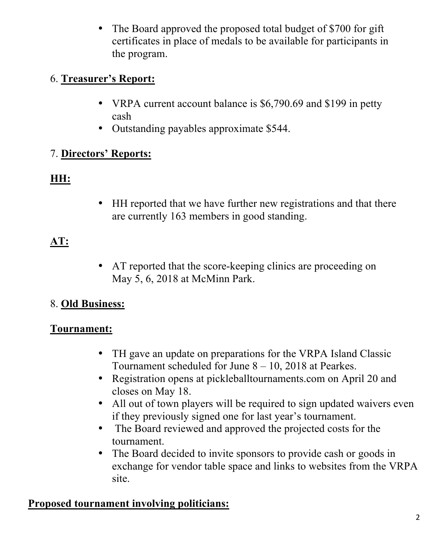• The Board approved the proposed total budget of \$700 for gift certificates in place of medals to be available for participants in the program.

### 6. **Treasurer's Report:**

- VRPA current account balance is \$6,790.69 and \$199 in petty cash
- Outstanding payables approximate \$544.

# 7. **Directors' Reports:**

# **HH:**

• HH reported that we have further new registrations and that there are currently 163 members in good standing.

# **AT:**

• AT reported that the score-keeping clinics are proceeding on May 5, 6, 2018 at McMinn Park.

# 8. **Old Business:**

### **Tournament:**

- TH gave an update on preparations for the VRPA Island Classic Tournament scheduled for June 8 – 10, 2018 at Pearkes.
- Registration opens at pickleballtournaments.com on April 20 and closes on May 18.
- All out of town players will be required to sign updated waivers even if they previously signed one for last year's tournament.
- The Board reviewed and approved the projected costs for the tournament.
- The Board decided to invite sponsors to provide cash or goods in exchange for vendor table space and links to websites from the VRPA site.

### **Proposed tournament involving politicians:**